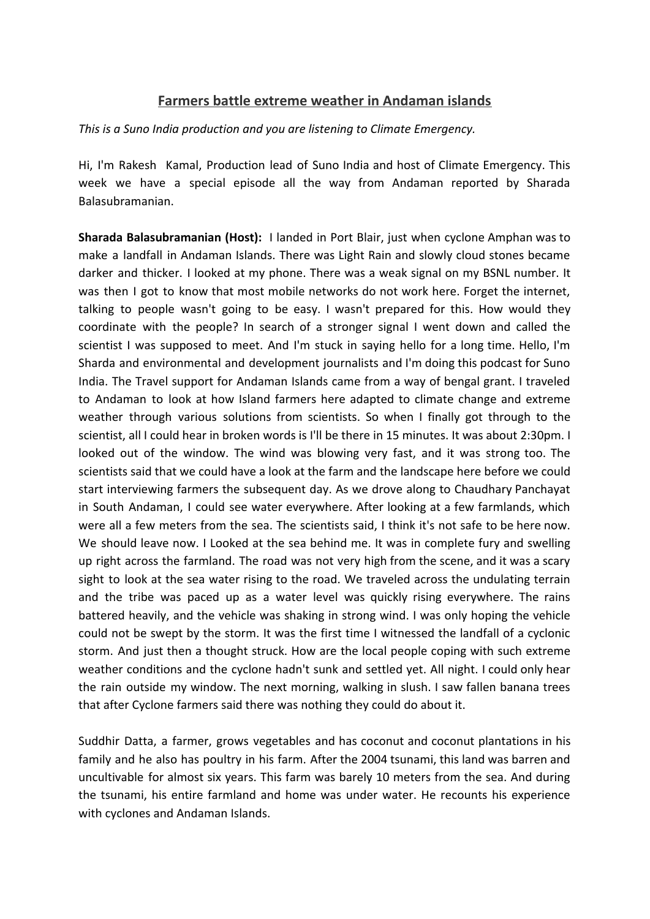## **Farmers battle extreme weather in Andaman islands**

## *This is a Suno India production and you are listening to Climate Emergency.*

Hi, I'm Rakesh Kamal, Production lead of Suno India and host of Climate Emergency. This week we have a special episode all the way from Andaman reported by Sharada Balasubramanian.

**Sharada Balasubramanian (Host):** I landed in Port Blair, just when cyclone Amphan was to make a landfall in Andaman Islands. There was Light Rain and slowly cloud stones became darker and thicker. I looked at my phone. There was a weak signal on my BSNL number. It was then I got to know that most mobile networks do not work here. Forget the internet, talking to people wasn't going to be easy. I wasn't prepared for this. How would they coordinate with the people? In search of a stronger signal I went down and called the scientist I was supposed to meet. And I'm stuck in saying hello for a long time. Hello, I'm Sharda and environmental and development journalists and I'm doing this podcast for Suno India. The Travel support for Andaman Islands came from a way of bengal grant. I traveled to Andaman to look at how Island farmers here adapted to climate change and extreme weather through various solutions from scientists. So when I finally got through to the scientist, all I could hear in broken words is I'll be there in 15 minutes. It was about 2:30pm. I looked out of the window. The wind was blowing very fast, and it was strong too. The scientists said that we could have a look at the farm and the landscape here before we could start interviewing farmers the subsequent day. As we drove along to Chaudhary Panchayat in South Andaman, I could see water everywhere. After looking at a few farmlands, which were all a few meters from the sea. The scientists said, I think it's not safe to be here now. We should leave now. I Looked at the sea behind me. It was in complete fury and swelling up right across the farmland. The road was not very high from the scene, and it was a scary sight to look at the sea water rising to the road. We traveled across the undulating terrain and the tribe was paced up as a water level was quickly rising everywhere. The rains battered heavily, and the vehicle was shaking in strong wind. I was only hoping the vehicle could not be swept by the storm. It was the first time I witnessed the landfall of a cyclonic storm. And just then a thought struck. How are the local people coping with such extreme weather conditions and the cyclone hadn't sunk and settled yet. All night. I could only hear the rain outside my window. The next morning, walking in slush. I saw fallen banana trees that after Cyclone farmers said there was nothing they could do about it.

Suddhir Datta, a farmer, grows vegetables and has coconut and coconut plantations in his family and he also has poultry in his farm. After the 2004 tsunami, this land was barren and uncultivable for almost six years. This farm was barely 10 meters from the sea. And during the tsunami, his entire farmland and home was under water. He recounts his experience with cyclones and Andaman Islands.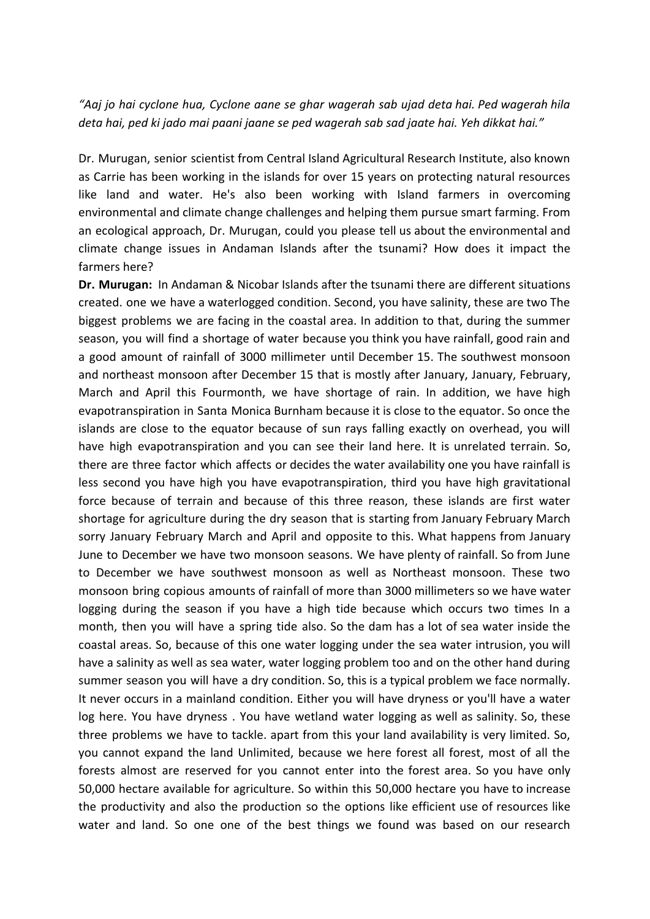*"Aaj jo hai cyclone hua, Cyclone aane se ghar wagerah sab ujad deta hai. Ped wagerah hila deta hai, ped ki jado mai paani jaane se ped wagerah sab sad jaate hai. Yeh dikkat hai."*

Dr. Murugan, senior scientist from Central Island Agricultural Research Institute, also known as Carrie has been working in the islands for over 15 years on protecting natural resources like land and water. He's also been working with Island farmers in overcoming environmental and climate change challenges and helping them pursue smart farming. From an ecological approach, Dr. Murugan, could you please tell us about the environmental and climate change issues in Andaman Islands after the tsunami? How does it impact the farmers here?

**Dr. Murugan:** In Andaman & Nicobar Islands after the tsunami there are different situations created. one we have a waterlogged condition. Second, you have salinity, these are two The biggest problems we are facing in the coastal area. In addition to that, during the summer season, you will find a shortage of water because you think you have rainfall, good rain and a good amount of rainfall of 3000 millimeter until December 15. The southwest monsoon and northeast monsoon after December 15 that is mostly after January, January, February, March and April this Fourmonth, we have shortage of rain. In addition, we have high evapotranspiration in Santa Monica Burnham because it is close to the equator. So once the islands are close to the equator because of sun rays falling exactly on overhead, you will have high evapotranspiration and you can see their land here. It is unrelated terrain. So, there are three factor which affects or decides the water availability one you have rainfall is less second you have high you have evapotranspiration, third you have high gravitational force because of terrain and because of this three reason, these islands are first water shortage for agriculture during the dry season that is starting from January February March sorry January February March and April and opposite to this. What happens from January June to December we have two monsoon seasons. We have plenty of rainfall. So from June to December we have southwest monsoon as well as Northeast monsoon. These two monsoon bring copious amounts of rainfall of more than 3000 millimeters so we have water logging during the season if you have a high tide because which occurs two times In a month, then you will have a spring tide also. So the dam has a lot of sea water inside the coastal areas. So, because of this one water logging under the sea water intrusion, you will have a salinity as well as sea water, water logging problem too and on the other hand during summer season you will have a dry condition. So, this is a typical problem we face normally. It never occurs in a mainland condition. Either you will have dryness or you'll have a water log here. You have dryness . You have wetland water logging as well as salinity. So, these three problems we have to tackle. apart from this your land availability is very limited. So, you cannot expand the land Unlimited, because we here forest all forest, most of all the forests almost are reserved for you cannot enter into the forest area. So you have only 50,000 hectare available for agriculture. So within this 50,000 hectare you have to increase the productivity and also the production so the options like efficient use of resources like water and land. So one one of the best things we found was based on our research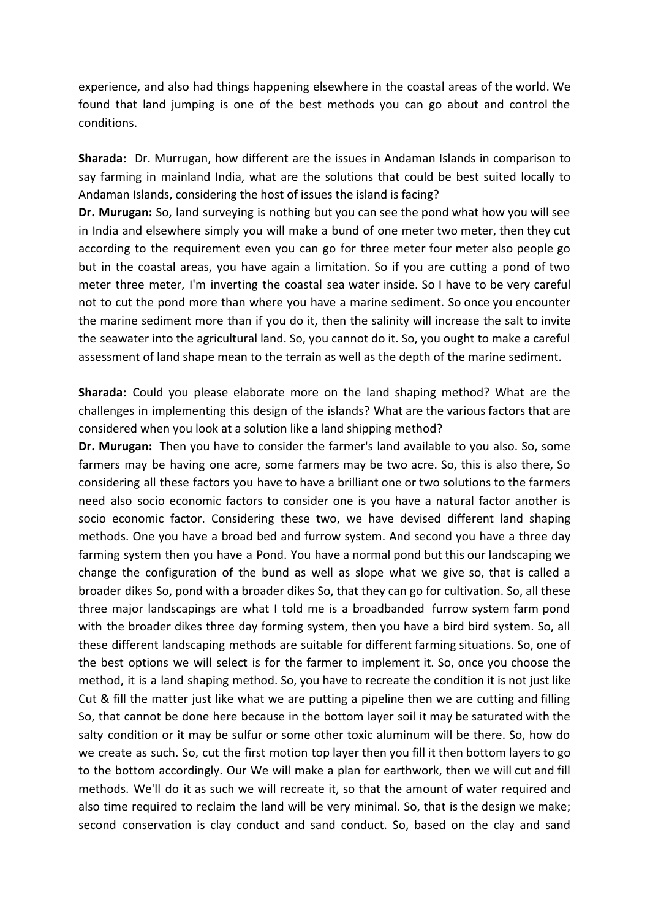experience, and also had things happening elsewhere in the coastal areas of the world. We found that land jumping is one of the best methods you can go about and control the conditions.

**Sharada:** Dr. Murrugan, how different are the issues in Andaman Islands in comparison to say farming in mainland India, what are the solutions that could be best suited locally to Andaman Islands, considering the host of issues the island is facing?

**Dr. Murugan:** So, land surveying is nothing but you can see the pond what how you will see in India and elsewhere simply you will make a bund of one meter two meter, then they cut according to the requirement even you can go for three meter four meter also people go but in the coastal areas, you have again a limitation. So if you are cutting a pond of two meter three meter, I'm inverting the coastal sea water inside. So I have to be very careful not to cut the pond more than where you have a marine sediment. So once you encounter the marine sediment more than if you do it, then the salinity will increase the salt to invite the seawater into the agricultural land. So, you cannot do it. So, you ought to make a careful assessment of land shape mean to the terrain as well as the depth of the marine sediment.

**Sharada:** Could you please elaborate more on the land shaping method? What are the challenges in implementing this design of the islands? What are the various factors that are considered when you look at a solution like a land shipping method?

**Dr. Murugan:** Then you have to consider the farmer's land available to you also. So, some farmers may be having one acre, some farmers may be two acre. So, this is also there, So considering all these factors you have to have a brilliant one or two solutions to the farmers need also socio economic factors to consider one is you have a natural factor another is socio economic factor. Considering these two, we have devised different land shaping methods. One you have a broad bed and furrow system. And second you have a three day farming system then you have a Pond. You have a normal pond but this our landscaping we change the configuration of the bund as well as slope what we give so, that is called a broader dikes So, pond with a broader dikes So, that they can go for cultivation. So, all these three major landscapings are what I told me is a broadbanded furrow system farm pond with the broader dikes three day forming system, then you have a bird bird system. So, all these different landscaping methods are suitable for different farming situations. So, one of the best options we will select is for the farmer to implement it. So, once you choose the method, it is a land shaping method. So, you have to recreate the condition it is not just like Cut & fill the matter just like what we are putting a pipeline then we are cutting and filling So, that cannot be done here because in the bottom layer soil it may be saturated with the salty condition or it may be sulfur or some other toxic aluminum will be there. So, how do we create as such. So, cut the first motion top layer then you fill it then bottom layers to go to the bottom accordingly. Our We will make a plan for earthwork, then we will cut and fill methods. We'll do it as such we will recreate it, so that the amount of water required and also time required to reclaim the land will be very minimal. So, that is the design we make; second conservation is clay conduct and sand conduct. So, based on the clay and sand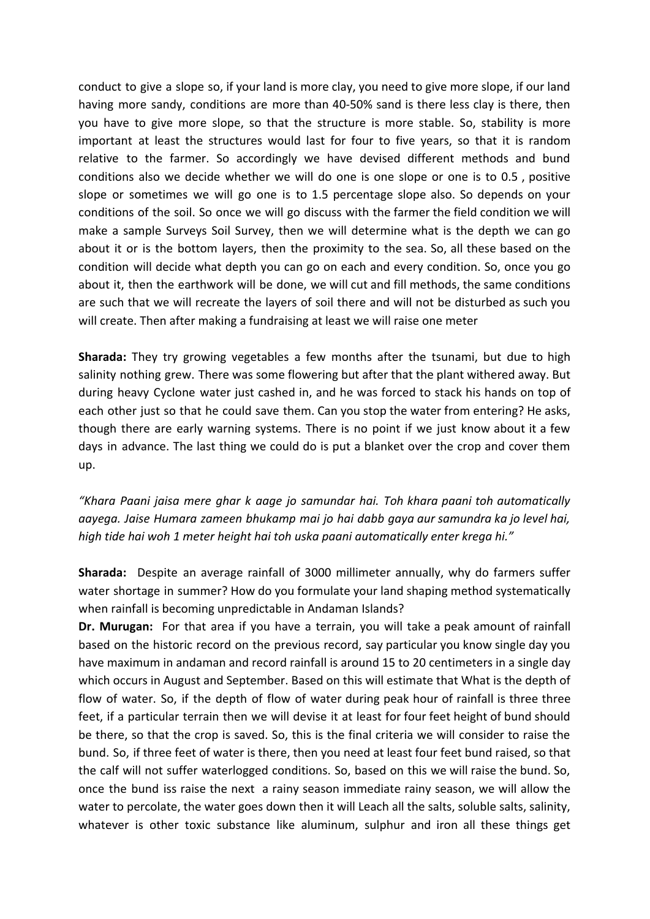conduct to give a slope so, if your land is more clay, you need to give more slope, if our land having more sandy, conditions are more than 40-50% sand is there less clay is there, then you have to give more slope, so that the structure is more stable. So, stability is more important at least the structures would last for four to five years, so that it is random relative to the farmer. So accordingly we have devised different methods and bund conditions also we decide whether we will do one is one slope or one is to 0.5 , positive slope or sometimes we will go one is to 1.5 percentage slope also. So depends on your conditions of the soil. So once we will go discuss with the farmer the field condition we will make a sample Surveys Soil Survey, then we will determine what is the depth we can go about it or is the bottom layers, then the proximity to the sea. So, all these based on the condition will decide what depth you can go on each and every condition. So, once you go about it, then the earthwork will be done, we will cut and fill methods, the same conditions are such that we will recreate the layers of soil there and will not be disturbed as such you will create. Then after making a fundraising at least we will raise one meter

**Sharada:** They try growing vegetables a few months after the tsunami, but due to high salinity nothing grew. There was some flowering but after that the plant withered away. But during heavy Cyclone water just cashed in, and he was forced to stack his hands on top of each other just so that he could save them. Can you stop the water from entering? He asks, though there are early warning systems. There is no point if we just know about it a few days in advance. The last thing we could do is put a blanket over the crop and cover them up.

*"Khara Paani jaisa mere ghar k aage jo samundar hai. Toh khara paani toh automatically aayega. Jaise Humara zameen bhukamp mai jo hai dabb gaya aur samundra ka jo level hai, high tide hai woh 1 meter height hai toh uska paani automatically enter krega hi."*

**Sharada:** Despite an average rainfall of 3000 millimeter annually, why do farmers suffer water shortage in summer? How do you formulate your land shaping method systematically when rainfall is becoming unpredictable in Andaman Islands?

**Dr. Murugan:** For that area if you have a terrain, you will take a peak amount of rainfall based on the historic record on the previous record, say particular you know single day you have maximum in andaman and record rainfall is around 15 to 20 centimeters in a single day which occurs in August and September. Based on this will estimate that What is the depth of flow of water. So, if the depth of flow of water during peak hour of rainfall is three three feet, if a particular terrain then we will devise it at least for four feet height of bund should be there, so that the crop is saved. So, this is the final criteria we will consider to raise the bund. So, if three feet of water is there, then you need at least four feet bund raised, so that the calf will not suffer waterlogged conditions. So, based on this we will raise the bund. So, once the bund iss raise the next a rainy season immediate rainy season, we will allow the water to percolate, the water goes down then it will Leach all the salts, soluble salts, salinity, whatever is other toxic substance like aluminum, sulphur and iron all these things get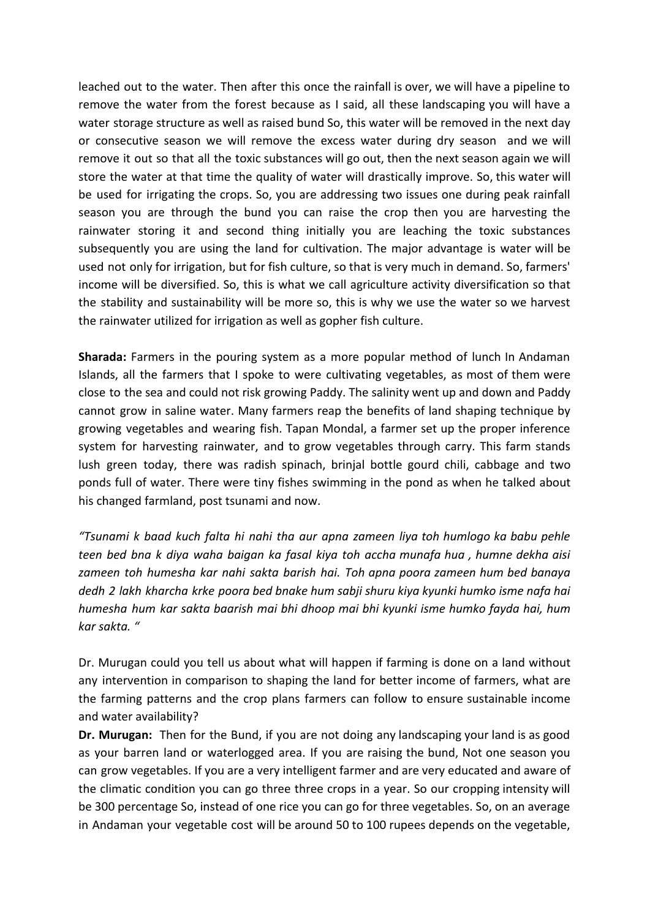leached out to the water. Then after this once the rainfall is over, we will have a pipeline to remove the water from the forest because as I said, all these landscaping you will have a water storage structure as well as raised bund So, this water will be removed in the next day or consecutive season we will remove the excess water during dry season and we will remove it out so that all the toxic substances will go out, then the next season again we will store the water at that time the quality of water will drastically improve. So, this water will be used for irrigating the crops. So, you are addressing two issues one during peak rainfall season you are through the bund you can raise the crop then you are harvesting the rainwater storing it and second thing initially you are leaching the toxic substances subsequently you are using the land for cultivation. The major advantage is water will be used not only for irrigation, but for fish culture, so that is very much in demand. So, farmers' income will be diversified. So, this is what we call agriculture activity diversification so that the stability and sustainability will be more so, this is why we use the water so we harvest the rainwater utilized for irrigation as well as gopher fish culture.

**Sharada:** Farmers in the pouring system as a more popular method of lunch In Andaman Islands, all the farmers that I spoke to were cultivating vegetables, as most of them were close to the sea and could not risk growing Paddy. The salinity went up and down and Paddy cannot grow in saline water. Many farmers reap the benefits of land shaping technique by growing vegetables and wearing fish. Tapan Mondal, a farmer set up the proper inference system for harvesting rainwater, and to grow vegetables through carry. This farm stands lush green today, there was radish spinach, brinjal bottle gourd chili, cabbage and two ponds full of water. There were tiny fishes swimming in the pond as when he talked about his changed farmland, post tsunami and now.

*"Tsunami k baad kuch falta hi nahi tha aur apna zameen liya toh humlogo ka babu pehle teen bed bna k diya waha baigan ka fasal kiya toh accha munafa hua , humne dekha aisi zameen toh humesha kar nahi sakta barish hai. Toh apna poora zameen hum bed banaya dedh 2 lakh kharcha krke poora bed bnake hum sabji shuru kiya kyunki humko isme nafa hai humesha hum kar sakta baarish mai bhi dhoop mai bhi kyunki isme humko fayda hai, hum kar sakta. "*

Dr. Murugan could you tell us about what will happen if farming is done on a land without any intervention in comparison to shaping the land for better income of farmers, what are the farming patterns and the crop plans farmers can follow to ensure sustainable income and water availability?

**Dr. Murugan:** Then for the Bund, if you are not doing any landscaping your land is as good as your barren land or waterlogged area. If you are raising the bund, Not one season you can grow vegetables. If you are a very intelligent farmer and are very educated and aware of the climatic condition you can go three three crops in a year. So our cropping intensity will be 300 percentage So, instead of one rice you can go for three vegetables. So, on an average in Andaman your vegetable cost will be around 50 to 100 rupees depends on the vegetable,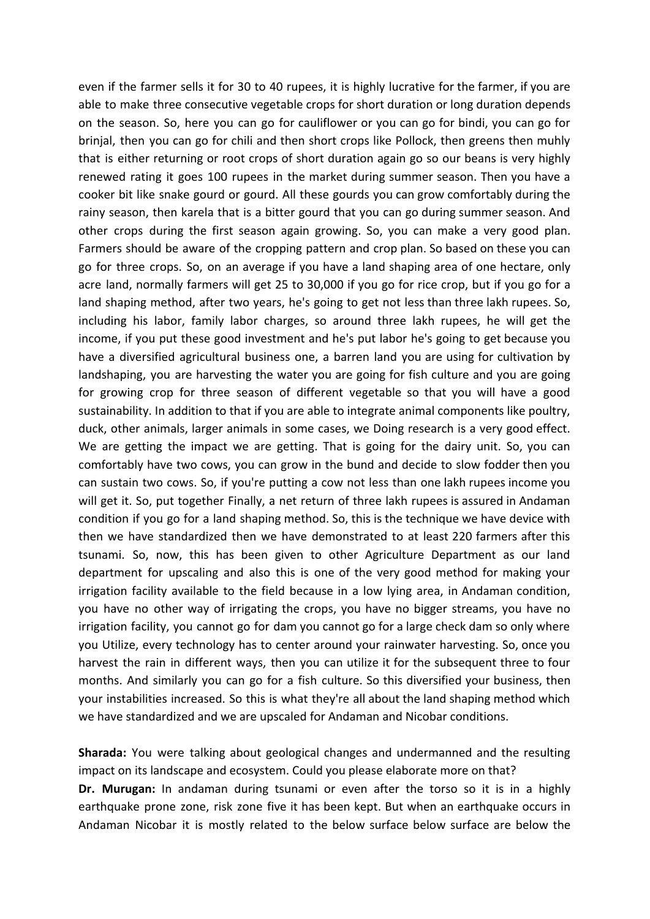even if the farmer sells it for 30 to 40 rupees, it is highly lucrative for the farmer, if you are able to make three consecutive vegetable crops for short duration or long duration depends on the season. So, here you can go for cauliflower or you can go for bindi, you can go for brinjal, then you can go for chili and then short crops like Pollock, then greens then muhly that is either returning or root crops of short duration again go so our beans is very highly renewed rating it goes 100 rupees in the market during summer season. Then you have a cooker bit like snake gourd or gourd. All these gourds you can grow comfortably during the rainy season, then karela that is a bitter gourd that you can go during summer season. And other crops during the first season again growing. So, you can make a very good plan. Farmers should be aware of the cropping pattern and crop plan. So based on these you can go for three crops. So, on an average if you have a land shaping area of one hectare, only acre land, normally farmers will get 25 to 30,000 if you go for rice crop, but if you go for a land shaping method, after two years, he's going to get not less than three lakh rupees. So, including his labor, family labor charges, so around three lakh rupees, he will get the income, if you put these good investment and he's put labor he's going to get because you have a diversified agricultural business one, a barren land you are using for cultivation by landshaping, you are harvesting the water you are going for fish culture and you are going for growing crop for three season of different vegetable so that you will have a good sustainability. In addition to that if you are able to integrate animal components like poultry, duck, other animals, larger animals in some cases, we Doing research is a very good effect. We are getting the impact we are getting. That is going for the dairy unit. So, you can comfortably have two cows, you can grow in the bund and decide to slow fodder then you can sustain two cows. So, if you're putting a cow not less than one lakh rupees income you will get it. So, put together Finally, a net return of three lakh rupees is assured in Andaman condition if you go for a land shaping method. So, this is the technique we have device with then we have standardized then we have demonstrated to at least 220 farmers after this tsunami. So, now, this has been given to other Agriculture Department as our land department for upscaling and also this is one of the very good method for making your irrigation facility available to the field because in a low lying area, in Andaman condition, you have no other way of irrigating the crops, you have no bigger streams, you have no irrigation facility, you cannot go for dam you cannot go for a large check dam so only where you Utilize, every technology has to center around your rainwater harvesting. So, once you harvest the rain in different ways, then you can utilize it for the subsequent three to four months. And similarly you can go for a fish culture. So this diversified your business, then your instabilities increased. So this is what they're all about the land shaping method which we have standardized and we are upscaled for Andaman and Nicobar conditions.

**Sharada:** You were talking about geological changes and undermanned and the resulting impact on its landscape and ecosystem. Could you please elaborate more on that? **Dr. Murugan:** In andaman during tsunami or even after the torso so it is in a highly earthquake prone zone, risk zone five it has been kept. But when an earthquake occurs in Andaman Nicobar it is mostly related to the below surface below surface are below the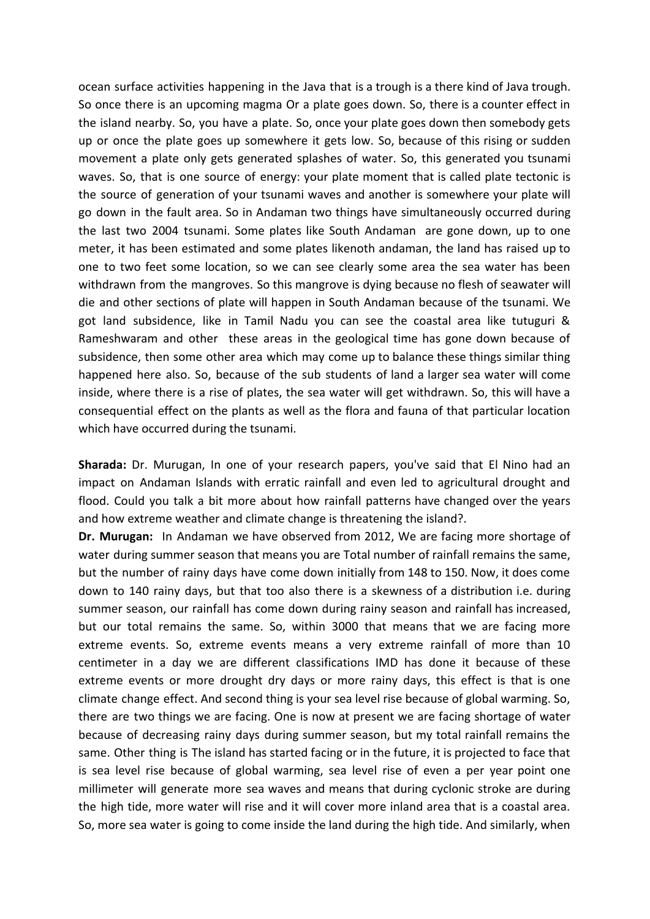ocean surface activities happening in the Java that is a trough is a there kind of Java trough. So once there is an upcoming magma Or a plate goes down. So, there is a counter effect in the island nearby. So, you have a plate. So, once your plate goes down then somebody gets up or once the plate goes up somewhere it gets low. So, because of this rising or sudden movement a plate only gets generated splashes of water. So, this generated you tsunami waves. So, that is one source of energy: your plate moment that is called plate tectonic is the source of generation of your tsunami waves and another is somewhere your plate will go down in the fault area. So in Andaman two things have simultaneously occurred during the last two 2004 tsunami. Some plates like South Andaman are gone down, up to one meter, it has been estimated and some plates likenoth andaman, the land has raised up to one to two feet some location, so we can see clearly some area the sea water has been withdrawn from the mangroves. So this mangrove is dying because no flesh of seawater will die and other sections of plate will happen in South Andaman because of the tsunami. We got land subsidence, like in Tamil Nadu you can see the coastal area like tutuguri & Rameshwaram and other these areas in the geological time has gone down because of subsidence, then some other area which may come up to balance these things similar thing happened here also. So, because of the sub students of land a larger sea water will come inside, where there is a rise of plates, the sea water will get withdrawn. So, this will have a consequential effect on the plants as well as the flora and fauna of that particular location which have occurred during the tsunami.

**Sharada:** Dr. Murugan, In one of your research papers, you've said that El Nino had an impact on Andaman Islands with erratic rainfall and even led to agricultural drought and flood. Could you talk a bit more about how rainfall patterns have changed over the years and how extreme weather and climate change is threatening the island?.

**Dr. Murugan:** In Andaman we have observed from 2012, We are facing more shortage of water during summer season that means you are Total number of rainfall remains the same, but the number of rainy days have come down initially from 148 to 150. Now, it does come down to 140 rainy days, but that too also there is a skewness of a distribution i.e. during summer season, our rainfall has come down during rainy season and rainfall has increased, but our total remains the same. So, within 3000 that means that we are facing more extreme events. So, extreme events means a very extreme rainfall of more than 10 centimeter in a day we are different classifications IMD has done it because of these extreme events or more drought dry days or more rainy days, this effect is that is one climate change effect. And second thing is your sea level rise because of global warming. So, there are two things we are facing. One is now at present we are facing shortage of water because of decreasing rainy days during summer season, but my total rainfall remains the same. Other thing is The island has started facing or in the future, it is projected to face that is sea level rise because of global warming, sea level rise of even a per year point one millimeter will generate more sea waves and means that during cyclonic stroke are during the high tide, more water will rise and it will cover more inland area that is a coastal area. So, more sea water is going to come inside the land during the high tide. And similarly, when